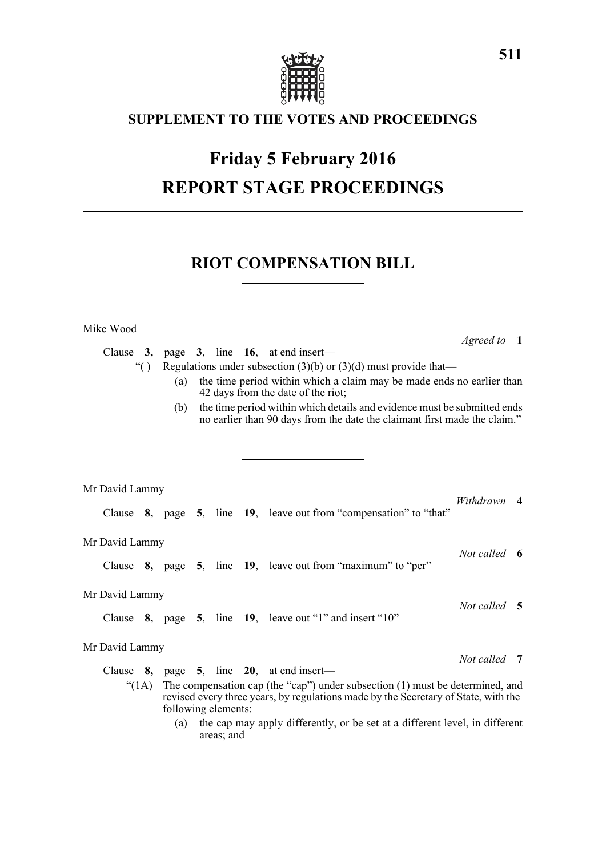

## **SUPPLEMENT TO THE VOTES AND PROCEEDINGS**

# **Friday 5 February 2016 REPORT STAGE PROCEEDINGS**

## **RIOT COMPENSATION BILL**

Mike Wood

*Agreed to* **1**

|                                                                                  | Clause 3, |  |                                                                                                                                                                                              |  |  |  | page 3, line 16, at end insert—                                                                                                             |              |  |  |  |  |  |  |
|----------------------------------------------------------------------------------|-----------|--|----------------------------------------------------------------------------------------------------------------------------------------------------------------------------------------------|--|--|--|---------------------------------------------------------------------------------------------------------------------------------------------|--------------|--|--|--|--|--|--|
| Regulations under subsection $(3)(b)$ or $(3)(d)$ must provide that—<br>$\lq( )$ |           |  |                                                                                                                                                                                              |  |  |  |                                                                                                                                             |              |  |  |  |  |  |  |
|                                                                                  |           |  | the time period within which a claim may be made ends no earlier than<br>(a)<br>42 days from the date of the riot;                                                                           |  |  |  |                                                                                                                                             |              |  |  |  |  |  |  |
|                                                                                  |           |  | the time period within which details and evidence must be submitted ends<br>(b)<br>no earlier than 90 days from the date the claimant first made the claim."                                 |  |  |  |                                                                                                                                             |              |  |  |  |  |  |  |
|                                                                                  |           |  |                                                                                                                                                                                              |  |  |  |                                                                                                                                             |              |  |  |  |  |  |  |
|                                                                                  |           |  |                                                                                                                                                                                              |  |  |  |                                                                                                                                             |              |  |  |  |  |  |  |
|                                                                                  |           |  |                                                                                                                                                                                              |  |  |  |                                                                                                                                             |              |  |  |  |  |  |  |
| Mr David Lammy                                                                   |           |  |                                                                                                                                                                                              |  |  |  |                                                                                                                                             |              |  |  |  |  |  |  |
|                                                                                  |           |  |                                                                                                                                                                                              |  |  |  | Clause 8, page 5, line 19, leave out from "compensation" to "that"                                                                          | Withdrawn 4  |  |  |  |  |  |  |
| Mr David Lammy                                                                   |           |  |                                                                                                                                                                                              |  |  |  |                                                                                                                                             |              |  |  |  |  |  |  |
|                                                                                  |           |  |                                                                                                                                                                                              |  |  |  | Clause 8, page 5, line 19, leave out from "maximum" to "per"                                                                                | Not called 6 |  |  |  |  |  |  |
| Mr David Lammy                                                                   |           |  |                                                                                                                                                                                              |  |  |  |                                                                                                                                             |              |  |  |  |  |  |  |
|                                                                                  |           |  |                                                                                                                                                                                              |  |  |  | Clause $\,8, \quad \text{page} \quad 5, \quad \text{line} \quad 19, \quad \text{leave out } \text{``1''} \text{ and insert } \text{``10''}$ | Not called 5 |  |  |  |  |  |  |
| Mr David Lammy                                                                   |           |  |                                                                                                                                                                                              |  |  |  |                                                                                                                                             |              |  |  |  |  |  |  |
|                                                                                  | Clause    |  |                                                                                                                                                                                              |  |  |  | 8, page 5, line $20$ , at end insert—                                                                                                       | Not called 7 |  |  |  |  |  |  |
|                                                                                  |           |  |                                                                                                                                                                                              |  |  |  |                                                                                                                                             |              |  |  |  |  |  |  |
| (1A)                                                                             |           |  | The compensation cap (the "cap") under subsection $(1)$ must be determined, and<br>revised every three years, by regulations made by the Secretary of State, with the<br>following elements: |  |  |  |                                                                                                                                             |              |  |  |  |  |  |  |

(a) the cap may apply differently, or be set at a different level, in different areas; and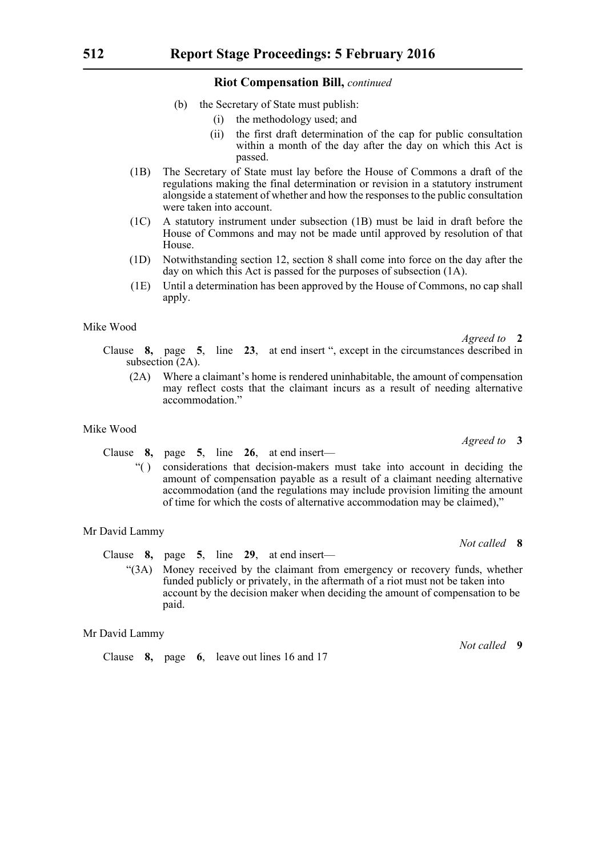#### **Riot Compensation Bill,** *continued*

- (b) the Secretary of State must publish:
	- (i) the methodology used; and
	- (ii) the first draft determination of the cap for public consultation within a month of the day after the day on which this Act is passed.
- (1B) The Secretary of State must lay before the House of Commons a draft of the regulations making the final determination or revision in a statutory instrument alongside a statement of whether and how the responses to the public consultation were taken into account.
- (1C) A statutory instrument under subsection (1B) must be laid in draft before the House of Commons and may not be made until approved by resolution of that House.
- (1D) Notwithstanding section 12, section 8 shall come into force on the day after the day on which this Act is passed for the purposes of subsection (1A).
- (1E) Until a determination has been approved by the House of Commons, no cap shall apply.

#### Mike Wood

*Agreed to* **2**

*Agreed to* **3**

*Not called* **8**

*Not called* **9**

Clause **8,** page **5**, line **23**, at end insert ", except in the circumstances described in subsection (2A).

(2A) Where a claimant's home is rendered uninhabitable, the amount of compensation may reflect costs that the claimant incurs as a result of needing alternative accommodation<sup>'</sup>

#### Mike Wood

Clause **8,** page **5**, line **26**, at end insert—

"( ) considerations that decision-makers must take into account in deciding the amount of compensation payable as a result of a claimant needing alternative accommodation (and the regulations may include provision limiting the amount of time for which the costs of alternative accommodation may be claimed),"

#### Mr David Lammy

- Clause **8,** page **5**, line **29**, at end insert—
	- "(3A) Money received by the claimant from emergency or recovery funds, whether funded publicly or privately, in the aftermath of a riot must not be taken into account by the decision maker when deciding the amount of compensation to be paid.

#### Mr David Lammy

Clause **8,** page **6**, leave out lines 16 and 17